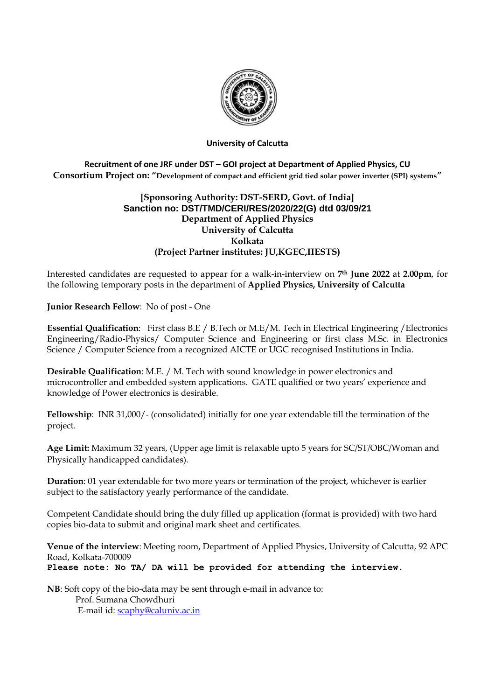

#### **University of Calcutta**

# **Recruitment of one JRF under DST – GOI project at Department of Applied Physics, CU Consortium Project on: "Development of compact and efficient grid tied solar power inverter (SPI) systems"**

## **[Sponsoring Authority: DST-SERD, Govt. of India] Sanction no: DST/TMD/CERI/RES/2020/22(G) dtd 03/09/21 Department of Applied Physics University of Calcutta Kolkata (Project Partner institutes: JU,KGEC,IIESTS)**

Interested candidates are requested to appear for a walk-in-interview on **7th June 2022** at **2.00pm**, for the following temporary posts in the department of **Applied Physics, University of Calcutta**

**Junior Research Fellow**: No of post - One

**Essential Qualification**: First class B.E / B.Tech or M.E/M. Tech in Electrical Engineering /Electronics Engineering/Radio-Physics/ Computer Science and Engineering or first class M.Sc. in Electronics Science / Computer Science from a recognized AICTE or UGC recognised Institutions in India.

**Desirable Qualification**: M.E. / M. Tech with sound knowledge in power electronics and microcontroller and embedded system applications. GATE qualified or two years' experience and knowledge of Power electronics is desirable.

**Fellowship**: INR 31,000/- (consolidated) initially for one year extendable till the termination of the project.

**Age Limit:** Maximum 32 years, (Upper age limit is relaxable upto 5 years for SC/ST/OBC/Woman and Physically handicapped candidates).

**Duration**: 01 year extendable for two more years or termination of the project, whichever is earlier subject to the satisfactory yearly performance of the candidate.

Competent Candidate should bring the duly filled up application (format is provided) with two hard copies bio-data to submit and original mark sheet and certificates.

**Venue of the interview**: Meeting room, Department of Applied Physics, University of Calcutta, 92 APC Road, Kolkata-700009 **Please note: No TA/ DA will be provided for attending the interview.**

**NB**: Soft copy of the bio-data may be sent through e-mail in advance to: Prof. Sumana Chowdhuri E-mail id: [scaphy@caluniv.ac.in](mailto:scaphy@caluniv.ac.in)